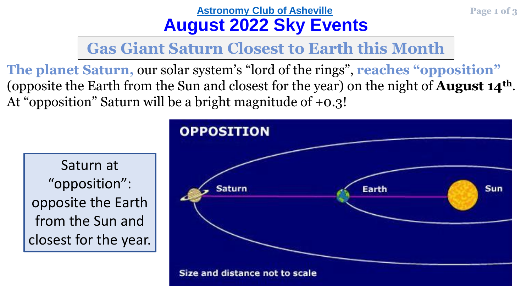## **[Astronomy Club of Asheville](https://www.astroasheville.org/) Page 1 of 3 August 2022 Sky Events**

**Gas Giant Saturn Closest to Earth this Month**

**The planet Saturn,** our solar system's "lord of the rings", **reaches "opposition"**  (opposite the Earth from the Sun and closest for the year) on the night of **August 14th**. At "opposition" Saturn will be a bright magnitude of +0.3!

Saturn at "opposition": opposite the Earth from the Sun and closest for the year.

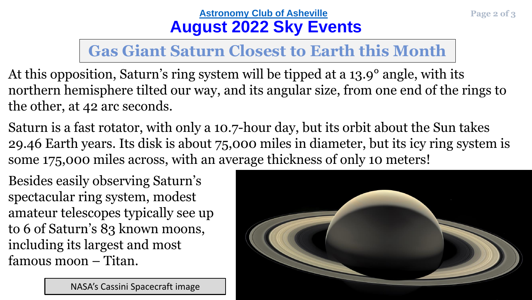## **[Astronomy Club of Asheville](https://www.astroasheville.org/) Page 2 of 3 August 2022 Sky Events**

## **Gas Giant Saturn Closest to Earth this Month**

- At this opposition, Saturn's ring system will be tipped at a 13.9° angle, with its northern hemisphere tilted our way, and its angular size, from one end of the rings to the other, at 42 arc seconds.
- Saturn is a fast rotator, with only a 10.7-hour day, but its orbit about the Sun takes 29.46 Earth years. Its disk is about 75,000 miles in diameter, but its icy ring system is some 175,000 miles across, with an average thickness of only 10 meters!

Besides easily observing Saturn's spectacular ring system, modest amateur telescopes typically see up to 6 of Saturn's 83 known moons, including its largest and most famous moon – Titan.



NASA's Cassini Spacecraft image